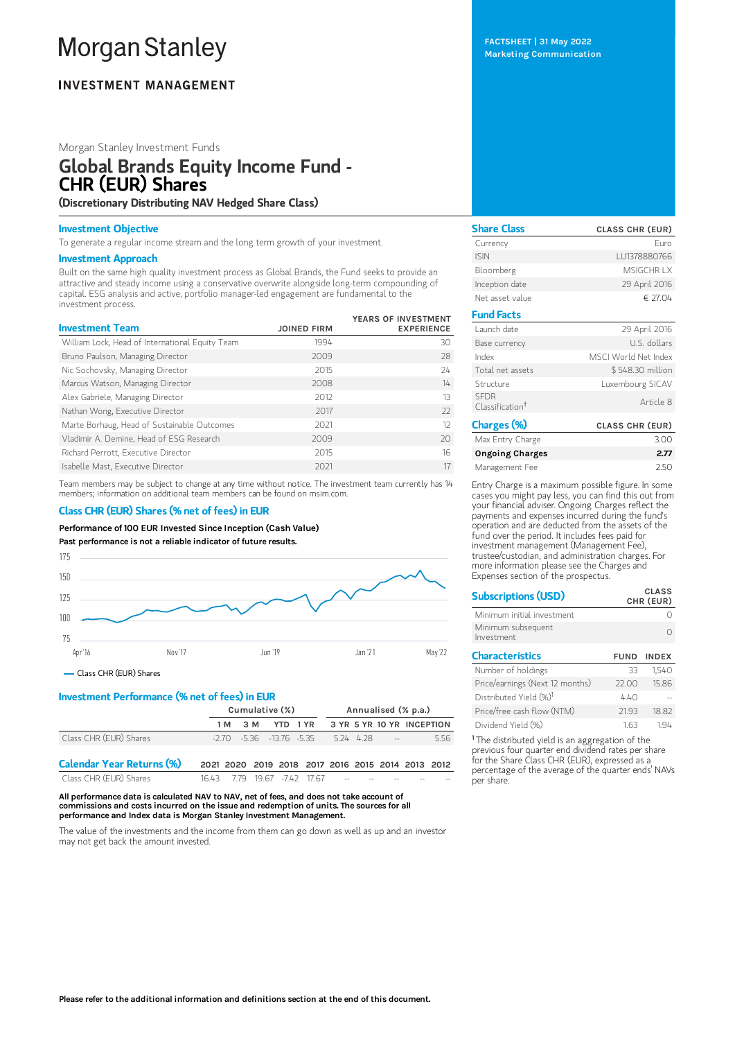# **Morgan Stanley**

## **INVESTMENT MANAGEMENT**

## Morgan Stanley Investment Funds

## Global Brands Equity Income Fund - CHR (EUR) Shares

(Discretionary Distributing NAV Hedged Share Class)

### Investment Objective

To generate a regular income stream and the long term growth of your investment.

### Investment Approach

Built on the same high quality investment process as Global Brands, the Fund seeks to provide an attractive and steady income using a conservative overwrite alongside long-term compounding of capital. ESG analysis and active, portfolio manager-led engagement are fundamental to the investment process.

| <b>Investment Team</b>                          | <b>JOINED FIRM</b> | YEARS OF INVESTMENT<br><b>EXPERIENCE</b> |
|-------------------------------------------------|--------------------|------------------------------------------|
| William Lock, Head of International Equity Team | 1994               | 30                                       |
| Bruno Paulson, Managing Director                | 2009               | 28                                       |
| Nic Sochovsky, Managing Director                | 2015               | 24                                       |
| Marcus Watson, Managing Director                | 2008               | $14 -$                                   |
| Alex Gabriele, Managing Director                | 2012               | 13                                       |
| Nathan Wong, Executive Director                 | 2017               | $22$                                     |
| Marte Borhaug, Head of Sustainable Outcomes     | 2021               | 12                                       |
| Vladimir A. Demine, Head of ESG Research        | 2009               | 20                                       |
| Richard Perrott, Executive Director             | 2015               | 16                                       |
| Isabelle Mast, Executive Director               | 2021               | 17                                       |

Team members may be subject to change at any time without notice. The investment team currently has 14 members; information on additional team members can be found on msim.com.

## Class CHR (EUR) Shares (% net of fees) in EUR

Performance of 100 EUR Invested Since Inception (Cash Value)

Past performance is not a reliable indicator of future results.



## Class CHR (EUR) Shares

## Investment Performance (% net of fees) in EUR

|                                  | Cumulative (%)                                    |     |                                  | Annualised (% p.a.)    |  |  |                           |  |     |
|----------------------------------|---------------------------------------------------|-----|----------------------------------|------------------------|--|--|---------------------------|--|-----|
|                                  | 1 M                                               | 3 M |                                  | YTD 1 YR               |  |  | 3 YR 5 YR 10 YR INCEPTION |  |     |
| Class CHR (EUR) Shares           |                                                   |     | $-2.70$ $-5.36$ $-13.76$ $-5.35$ |                        |  |  | 524 428 --                |  | 556 |
| <b>Calendar Year Returns (%)</b> | 2021 2020 2019 2018 2017 2016 2015 2014 2013 2012 |     |                                  |                        |  |  |                           |  |     |
| Class CHR (EUR) Shares           | 1643.                                             |     |                                  | 7.79 19.67 -7.42 17.67 |  |  |                           |  |     |

All performance data is calculated NAV to NAV, net of fees, and does not take account of commissions and costs incurred on the issue and redemption of units. The sources for all performance and Index data is Morgan Stanley Investment Management.

The value of the investments and the income from them can go down as well as up and an investor may not get back the amount invested.

FACTSHEET | 31 May 2022 Marketing Communication

| <b>Share Class</b>                         | <b>CLASS CHR (EUR)</b> |
|--------------------------------------------|------------------------|
| Currency                                   | Furo                   |
| <b>ISIN</b>                                | LU1378880766           |
| Bloomberg                                  | MSIGCHR IX             |
| Inception date                             | 29 April 2016          |
| Net asset value                            | € 27.04                |
| <b>Fund Facts</b>                          |                        |
| Launch date                                | 29 April 2016          |
| Base currency                              | U.S. dollars           |
| Index                                      | MSCI World Net Index   |
| Total net assets                           | \$548.30 million       |
| Structure                                  | Luxembourg SICAV       |
| <b>SFDR</b><br>Classification <sup>†</sup> | Article 8              |
| Charges (%)                                | <b>CLASS CHR (EUR)</b> |
| Max Entry Charge                           | 3.00                   |
| Ongoing Charges                            | 2.77                   |

Ingoing Charge Management Fee 2.50 Entry Charge is a maximum possible figure. In some

cases you might pay less, you can find this out from your financial adviser. Ongoing Charges reflect the payments and expenses incurred during the fund's operation and are deducted from the assets of the fund over the period. It includes fees paid for investment management (Management Fee), trustee/custodian, and administration charges. For more information please see the Charges and Expenses section of the prospectus.

| <b>Subscriptions (USD)</b>         |             | <b>CLASS</b><br>CHR (EUR) |
|------------------------------------|-------------|---------------------------|
| Minimum initial investment         |             |                           |
| Minimum subsequent<br>Investment   |             |                           |
| <b>Characteristics</b>             | <b>FUND</b> | <b>INDEX</b>              |
| Number of holdings                 | 33          | 1,540                     |
| Price/earnings (Next 12 months)    | 22.00       | 15.86                     |
| Distributed Yield (%) <sup>1</sup> | 4.40        |                           |
| Price/free cash flow (NTM)         | 21.93       | 18.82                     |
| Dividend Yield (%)                 | 1.63        | 194                       |

<sup>1</sup> The distributed yield is an aggregation of the previous four quarter end dividend rates per share for the Share Class CHR (EUR), expressed as a percentage of the average of the quarter ends' NAVs per share.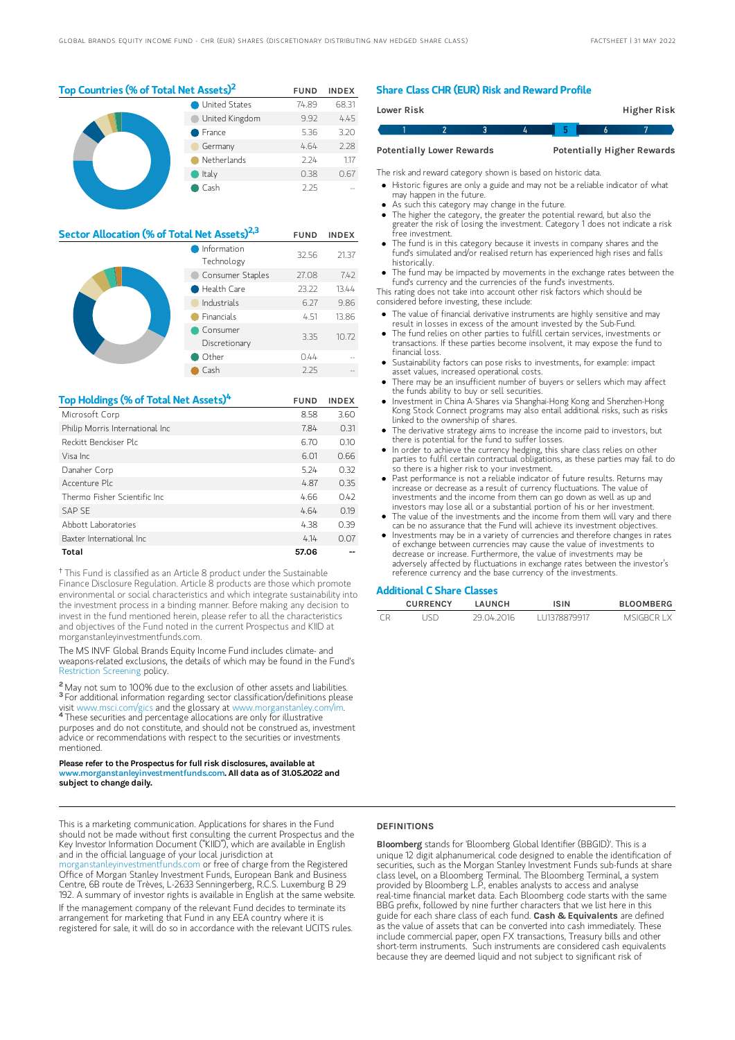| Top Countries (% of Total Net Assets) <sup>2</sup> | <b>FUND</b>          | <b>INDEX</b> |       |
|----------------------------------------------------|----------------------|--------------|-------|
|                                                    | <b>United States</b> | 74.89        | 68.31 |
|                                                    | United Kingdom       | 9.92         | 4.45  |
|                                                    | France               | 5.36         | 3.20  |
| Germany                                            |                      | 4.64         | 2.28  |
|                                                    | Netherlands          | 2.24         | 1.17  |
|                                                    | Italy                | 0.38         | 0.67  |
|                                                    | Cash                 | 2.25         |       |

| Sector Allocation (% of Total Net Assets) <sup>2,3</sup> |                           |       | <b>INDEX</b> |
|----------------------------------------------------------|---------------------------|-------|--------------|
|                                                          | Information<br>Technology | 32.56 | 21.37        |
|                                                          | Consumer Staples          | 27.08 | 7.42         |
|                                                          | Health Care               | 23.22 | 13.44        |
|                                                          | Industrials               | 6.27  | 9.86         |
| <b>Financials</b>                                        |                           | 4.51  | 13.86        |
|                                                          | Consumer<br>Discretionary | 3.35  | 10.72        |
|                                                          | Other                     | 0.44  |              |
|                                                          | Cash                      | 2.25  |              |

| Top Holdings (% of Total Net Assets) <sup>4</sup> | <b>FUND</b> | <b>INDEX</b> |
|---------------------------------------------------|-------------|--------------|
| Microsoft Corp                                    | 8.58        | 3.60         |
| Philip Morris International Inc                   | 7.84        | 0.31         |
| Reckitt Benckiser Plc                             | 6.70        | 0.10         |
| Visa Inc.                                         | 6.01        | 0.66         |
| Danaher Corp                                      | 5.24        | 0.32         |
| Accenture Plc                                     | 4.87        | 0.35         |
| Thermo Fisher Scientific Inc.                     | 4.66        | 0.42         |
| <b>SAP SE</b>                                     | 4.64        | 0.19         |
| Abbott Laboratories                               | 4.38        | 0.39         |
| Baxter International Inc.                         | 4.14        | 0.07         |
| Total                                             | 57.06       |              |

<sup>†</sup> This Fund is classified as an Article 8 product under the Sustainable Finance Disclosure Regulation. Article 8 products are those which promote environmental or social characteristics and which integrate sustainability into the investment process in a binding manner. Before making any decision to invest in the fund mentioned herein, please refer to all the characteristics and objectives of the Fund noted in the current Prospectus and KIID at morganstanleyinvestmentfunds.com.

The MS INVF Global Brands Equity Income Fund includes climate- and weapons-related exclusions, the details of which may be found in the Fund's [Restriction](https://www.morganstanley.com/im/publication/msinvf/material/rsp_msinvf_gb_gbei_gq_en.pdf?1654720968714) Screening policy.

<sup>2</sup> May not sum to 100% due to the exclusion of other assets and liabilities. <sup>3</sup> For additional information regarding sector classification/definitions please visit www.msci.com/gics and the glossary at www.morganstanley.com/im. 4

These securities and percentage allocations are only for illustrative purposes and do not constitute, and should not be construed as, investment advice or recommendations with respect to the securities or investments mentioned.

#### Please refer to the Prospectus for full risk disclosures, available at www.morganstanleyinvestmentfunds.com. All data as of 31.05.2022 and subject to change daily.

This is a marketing communication. Applications for shares in the Fund should not be made without first consulting the current Prospectus and the Key Investor Information Document ("KIID"), which are available in English and in the official language of your local jurisdiction at

[morganstanleyinvestmentfunds.com](https://www.morganstanley.com/im/msinvf/index.html) or free of charge from the Registered Office of Morgan Stanley Investment Funds, European Bank and Business Centre, 6B route de Trèves, L-2633 Senningerberg, R.C.S. Luxemburg B 29 192. A summary of investor rights is available in English at the same website. If the management company of the relevant Fund decides to terminate its arrangement for marketing that Fund in any EEA country where it is registered for sale, it will do so in accordance with the relevant UCITS rules.

#### Share Class CHR (EUR) Risk and Reward Profile

|                                                                       | Lower Risk |  |  |  |  | Higher Risk |  |
|-----------------------------------------------------------------------|------------|--|--|--|--|-------------|--|
|                                                                       |            |  |  |  |  |             |  |
| <b>Potentially Higher Rewards</b><br><b>Potentially Lower Rewards</b> |            |  |  |  |  |             |  |

The risk and reward category shown is based on historic data.

- Historic figures are only a guide and may not be a reliable indicator of what may happen in the future.
- As such this category may change in the future.
- The higher the category, the greater the potential reward, but also the greater the risk of losing the investment. Category 1 does not indicate a risk free investment.
- The fund is in this category because it invests in company shares and the fund's simulated and/or realised return has experienced high rises and falls historically.
- The fund may be impacted by movements in the exchange rates between the fund's currency and the currencies of the fund's investments.
- This rating does not take into account other risk factors which should be considered before investing, these include:
- The value of financial derivative instruments are highly sensitive and may result in losses in excess of the amount invested by the Sub-Fund.
- The fund relies on other parties to fulfill certain services, investments or transactions. If these parties become insolvent, it may expose the fund to financial loss.
- Sustainability factors can pose risks to investments, for example: impact asset values, increased operational costs.
- There may be an insufficient number of buyers or sellers which may affect the funds ability to buy or sell securities.
- Investment in China A-Shares via Shanghai-Hong Kong and Shenzhen-Hong Kong Stock Connect programs may also entail additional risks, such as risks linked to the ownership of shares.
- The derivative strategy aims to increase the income paid to investors, but there is potential for the fund to suffer losses.
- In order to achieve the currency hedging, this share class relies on other parties to fulfil certain contractual obligations, as these parties may fail to do so there is a higher risk to your investment.
- Past performance is not a reliable indicator of future results. Returns may increase or decrease as a result of currency fluctuations. The value of investments and the income from them can go down as well as up and investors may lose all or a substantial portion of his or her investment.
- The value of the investments and the income from them will vary and there
- can be no assurance that the Fund will achieve its investment objectives. Investments may be in a variety of currencies and therefore changes in rates of exchange between currencies may cause the value of investments to decrease or increase. Furthermore, the value of investments may be adversely affected by fluctuations in exchange rates between the investor's reference currency and the base currency of the investments.

#### Additional C Share Classes

| <b>CURRENCY</b> | LAUNCH     | <b>ISIN</b>  | <b>BLOOMBERG</b> |
|-----------------|------------|--------------|------------------|
|                 | 29 04 2016 | 111378879917 | MSIGRCR LX       |

#### **DEFINITIONS**

Bloomberg stands for 'Bloomberg Global Identifier (BBGID)'. This is a unique 12 digit alphanumerical code designed to enable the identification of securities, such as the Morgan Stanley Investment Funds sub-funds at share class level, on a Bloomberg Terminal. The Bloomberg Terminal, a system provided by Bloomberg L.P., enables analysts to access and analyse real-time financial market data. Each Bloomberg code starts with the same BBG prefix, followed by nine further characters that we list here in this guide for each share class of each fund. Cash & Equivalents are defined as the value of assets that can be converted into cash immediately. These include commercial paper, open FX transactions, Treasury bills and other short-term instruments. Such instruments are considered cash equivalents because they are deemed liquid and not subject to significant risk of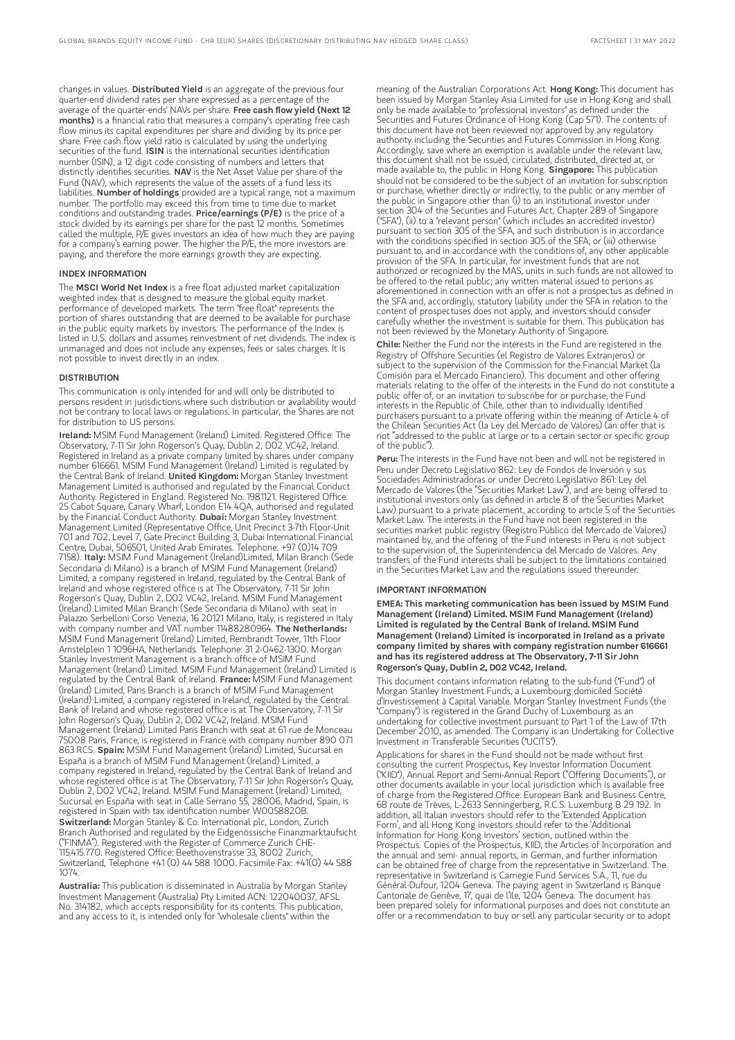changes in values. Distributed Yield is an aggregate of the previous four quarter-end dividend rates per share expressed as a percentage of the average of the quarter-ends' NAVs per share. Free cash flow yield (Next 12 months) is a financial ratio that measures a company's operating free cash flow minus its capital expenditures per share and dividing by its price per share. Free cash flow yield ratio is calculated by using the underlying securities of the fund. ISIN is the international securities identification number (ISIN), a 12 digit code consisting of numbers and letters that distinctly identifies securities. NAV is the Net Asset Value per share of the Fund (NAV), which represents the value of the assets of a fund less its liabilities. Number of holdings provided are a typical range, not a maximum number. The portfolio may exceed this from time to time due to market conditions and outstanding trades. Price/earnings (P/E) is the price of a stock divided by its earnings per share for the past 12 months. Sometimes called the multiple, P/E gives investors an idea of how much they are paying for a company's earning power. The higher the P/E, the more investors are paying, and therefore the more earnings growth they are expecting.

#### INDEX INFORMATION

The MSCI World Net Index is a free float adjusted market capitalization weighted index that is designed to measure the global equity market performance of developed markets. The term "free float" represents the portion of shares outstanding that are deemed to be available for purchase in the public equity markets by investors. The performance of the Index is listed in U.S. dollars and assumes reinvestment of net dividends. The index is unmanaged and does not include any expenses, fees or sales charges. It is not possible to invest directly in an index.

#### DISTRIBUTION

This communication is only intended for and will only be distributed to persons resident in jurisdictions where such distribution or availability would not be contrary to local laws or regulations. In particular, the Shares are not for distribution to US persons.

Ireland: MSIM Fund Management (Ireland) Limited. Registered Office: The Observatory, 7-11 Sir John Rogerson's Quay, Dublin 2, D02 VC42, Ireland. Registered in Ireland as a private company limited by shares under company number 616661. MSIM Fund Management (Ireland) Limited is regulated by<br>the Central Bank of Ireland. **United Kingdom:** Morgan Stanley Investment Management Limited is authorised and regulated by the Financial Conduct Authority. Registered in England. Registered No. 1981121. Registered Office: 25 Cabot Square, Canary Wharf, London E14 4QA, authorised and regulated<br>by the Financial Conduct Authority. **Dubai:** Morgan Stanley Investment Management Limited (Representative Office, Unit Precinct 3-7th Floor-Unit 701 and 702, Level 7, Gate Precinct Building 3, Dubai International Financial Centre, Dubai, 506501, United Arab Emirates. Telephone: +97 (0)14 709 7158). Italy: MSIM Fund Management (Ireland)Limited, Milan Branch (Sede Secondaria di Milano) is a branch of MSIM Fund Management (Ireland) Limited, a company registered in Ireland, regulated by the Central Bank of Ireland and whose registered office is at The Observatory, 7-11 Sir John Rogerson's Quay, Dublin 2, D02 VC42, Ireland. MSIM Fund Management (Ireland) Limited Milan Branch (Sede Secondaria di Milano) with seat in Palazzo Serbelloni Corso Venezia, 16 20121 Milano, Italy, is registered in Italy<br>with company number and VAT number 11488280964. **The Netherlands:** MSIM Fund Management (Ireland) Limited, Rembrandt Tower, 11th Floor Amstelplein 1 1096HA, Netherlands. Telephone: 31 2-0462-1300. Morgan Stanley Investment Management is a branch office of MSIM Fund Management (Ireland) Limited. MSIM Fund Management (Ireland) Limited is regulated by the Central Bank of Ireland. France: MSIM Fund Management (Ireland) Limited, Paris Branch is a branch of MSIM Fund Management (Ireland) Limited, a company registered in Ireland, regulated by the Central Bank of Ireland and whose registered office is at The Observatory, 7-11 Sir John Rogerson's Quay, Dublin 2, D02 VC42, Ireland. MSIM Fund Management (Ireland) Limited Paris Branch with seat at 61 rue de Monceau 75008 Paris, France, is registered in France with company number 890 071 863 RCS. Spain: MSIM Fund Management (Ireland) Limited, Sucursal en España is a branch of MSIM Fund Management (Ireland) Limited, a company registered in Ireland, regulated by the Central Bank of Ireland and whose registered office is at The Observatory, 7-11 Sir John Rogerson's Quay, Dublin 2, D02 VC42, Ireland. MSIM Fund Management (Ireland) Limited, Sucursal en España with seat in Calle Serrano 55, 28006, Madrid, Spain, is registered in Spain with tax identification number W0058820B. Switzerland: Morgan Stanley & Co. International plc, London, Zurich Branch Authorised and regulated by the Eidgenössische Finanzmarktaufsicht ("FINMA"). Registered with the Register of Commerce Zurich CHE-115.415.770. Registered Office: Beethovenstrasse 33, 8002 Zurich, Switzerland, Telephone +41 (0) 44 588 1000. Facsimile Fax: +41(0) 44 588 1074.

Australia: This publication is disseminated in Australia by Morgan Stanley Investment Management (Australia) Pty Limited ACN: 122040037, AFSL No. 314182, which accepts responsibility for its contents. This publication, and any access to it, is intended only for "wholesale clients" within the

meaning of the Australian Corporations Act. Hong Kong: This document has been issued by Morgan Stanley Asia Limited for use in Hong Kong and shall only be made available to "professional investors" as defined under the Securities and Futures Ordinance of Hong Kong (Cap 571). The contents of this document have not been reviewed nor approved by any regulatory authority including the Securities and Futures Commission in Hong Kong. Accordingly, save where an exemption is available under the relevant law, this document shall not be issued, circulated, distributed, directed at, or made available to, the public in Hong Kong. Singapore: This publication should not be considered to be the subject of an invitation for subscription or purchase, whether directly or indirectly, to the public or any member of the public in Singapore other than (i) to an institutional investor under section 304 of the Securities and Futures Act, Chapter 289 of Singapore ("SFA"), (ii) to a "relevant person" (which includes an accredited investor) pursuant to section 305 of the SFA, and such distribution is in accordance with the conditions specified in section 305 of the SFA; or (iii) otherwise pursuant to, and in accordance with the conditions of, any other applicable provision of the SFA. In particular, for investment funds that are not authorized or recognized by the MAS, units in such funds are not allowed to be offered to the retail public; any written material issued to persons as aforementioned in connection with an offer is not a prospectus as defined in the SFA and, accordingly, statutory liability under the SFA in relation to the content of prospectuses does not apply, and investors should consider carefully whether the investment is suitable for them. This publication has not been reviewed by the Monetary Authority of Singapore.

Chile: Neither the Fund nor the interests in the Fund are registered in the Registry of Offshore Securities (el Registro de Valores Extranjeros) or subject to the supervision of the Commission for the Financial Market (la Comisión para el Mercado Financiero). This document and other offering materials relating to the offer of the interests in the Fund do not constitute a public offer of, or an invitation to subscribe for or purchase, the Fund interests in the Republic of Chile, other than to individually identified purchasers pursuant to a private offering within the meaning of Article 4 of the Chilean Securities Act (la Ley del Mercado de Valores) (an offer that is not "addressed to the public at large or to a certain sector or specific group of the public").

Peru: The interests in the Fund have not been and will not be registered in Peru under Decreto Legislativo 862: Ley de Fondos de Inversión y sus Sociedades Administradoras or under Decreto Legislativo 861: Ley del Mercado de Valores (the "Securities Market Law"), and are being offered to institutional investors only (as defined in article 8 of the Securities Market Law) pursuant to a private placement, according to article 5 of the Securities Market Law. The interests in the Fund have not been registered in the securities market public registry (Registro Público del Mercado de Valores) maintained by, and the offering of the Fund interests in Peru is not subject to the supervision of, the Superintendencia del Mercado de Valores. Any transfers of the Fund interests shall be subject to the limitations contained in the Securities Market Law and the regulations issued thereunder.

#### IMPORTANT INFORMATION

EMEA: This marketing communication has been issued by MSIM Fund Management (Ireland) Limited. MSIM Fund Management (Ireland) Limited is regulated by the Central Bank of Ireland. MSIM Fund Management (Ireland) Limited is incorporated in Ireland as a private company limited by shares with company registration number 616661 and has its registered address at The Observatory, 7-11 Sir John Rogerson's Quay, Dublin 2, D02 VC42, Ireland.

This document contains information relating to the sub-fund ("Fund") of Morgan Stanley Investment Funds, a Luxembourg domiciled Société d'Investissement à Capital Variable. Morgan Stanley Investment Funds (the "Company") is registered in the Grand Duchy of Luxembourg as an undertaking for collective investment pursuant to Part 1 of the Law of 17th December 2010, as amended. The Company is an Undertaking for Collective Investment in Transferable Securities ("UCITS").

Applications for shares in the Fund should not be made without first consulting the current Prospectus, Key Investor Information Document ("KIID"), Annual Report and Semi-Annual Report ("Offering Documents"), or other documents available in your local jurisdiction which is available free of charge from the Registered Office: European Bank and Business Centre, 6B route de Trèves, L-2633 Senningerberg, R.C.S. Luxemburg B 29 192. In addition, all Italian investors should refer to the 'Extended Application Form', and all Hong Kong investors should refer to the 'Additional Information for Hong Kong Investors' section, outlined within the Prospectus. Copies of the Prospectus, KIID, the Articles of Incorporation and the annual and semi- annual reports, in German, and further information can be obtained free of charge from the representative in Switzerland. The representative in Switzerland is Carnegie Fund Services S.A., 11, rue du Général-Dufour, 1204 Geneva. The paying agent in Switzerland is Banque Cantonale de Genève, 17, quai de l'Ile, 1204 Geneva. The document has been prepared solely for informational purposes and does not constitute an offer or a recommendation to buy or sell any particular security or to adopt